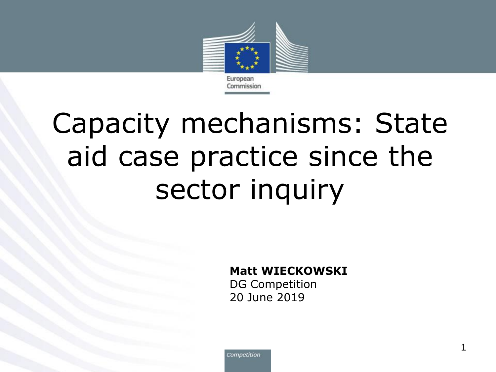

# Capacity mechanisms: State aid case practice since the sector inquiry

#### **Matt WIECKOWSKI**

DG Competition 20 June 2019

Competition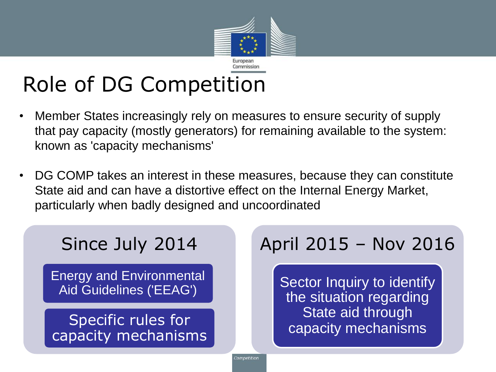

## Role of DG Competition

- Member States increasingly rely on measures to ensure security of supply that pay capacity (mostly generators) for remaining available to the system: known as 'capacity mechanisms'
- DG COMP takes an interest in these measures, because they can constitute State aid and can have a distortive effect on the Internal Energy Market, particularly when badly designed and uncoordinated

#### Since July 2014

Energy and Environmental Aid Guidelines ('EEAG')

Specific rules for capacity mechanisms

#### April 2015 – Nov 2016

Sector Inquiry to identify the situation regarding State aid through capacity mechanisms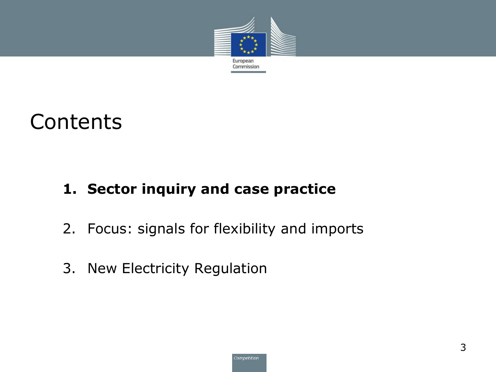

#### **Contents**

#### **1. Sector inquiry and case practice**

- 2. Focus: signals for flexibility and imports
- 3. New Electricity Regulation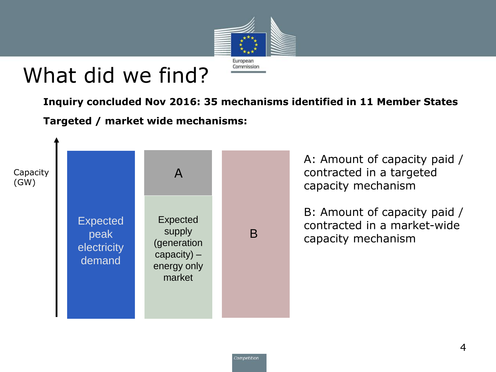

### What did we find?

**Inquiry concluded Nov 2016: 35 mechanisms identified in 11 Member States**

**Targeted / market wide mechanisms:**



A: Amount of capacity paid / contracted in a targeted capacity mechanism

B: Amount of capacity paid / contracted in a market-wide capacity mechanism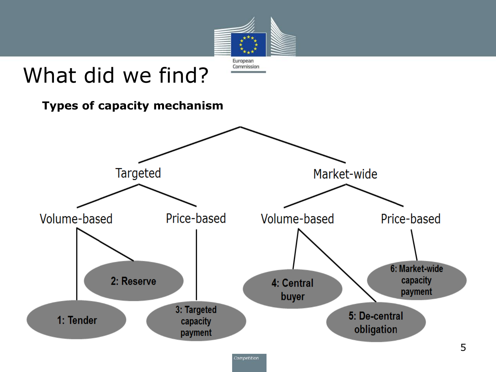

### What did we find?



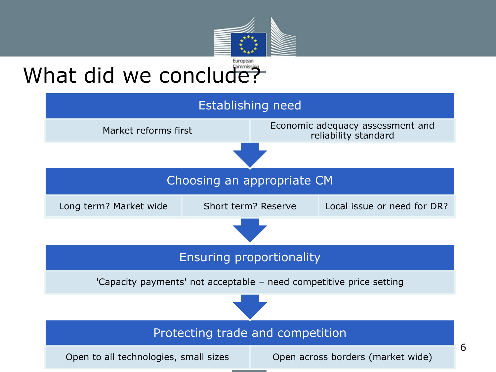![](_page_5_Picture_0.jpeg)

### What did we conclude?

![](_page_5_Figure_2.jpeg)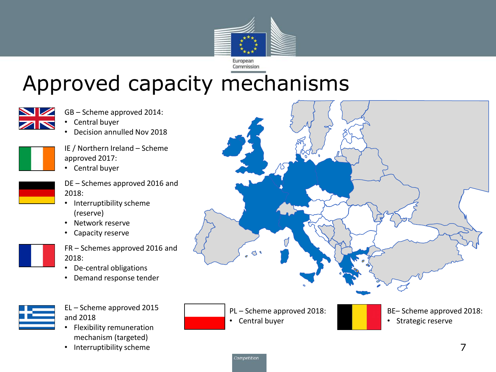![](_page_6_Picture_0.jpeg)

### Approved capacity mechanisms

![](_page_6_Picture_2.jpeg)

- GB Scheme approved 2014:
- Central buyer
- Decision annulled Nov 2018

![](_page_6_Figure_6.jpeg)

IE / Northern Ireland – Scheme approved 2017:

- Central buyer
- 
- DE Schemes approved 2016 and 2018:
- Interruptibility scheme (reserve)
- Network reserve
- Capacity reserve
- FR Schemes approved 2016 and 2018:
	- De-central obligations
	- Demand response tender

![](_page_6_Picture_17.jpeg)

EL – Scheme approved 2015 and 2018

- Flexibility remuneration mechanism (targeted)
- Interruptibility scheme

![](_page_6_Figure_21.jpeg)

PL – Scheme approved 2018: • Central buyer

- 
- BE– Scheme approved 2018:
	- Strategic reserve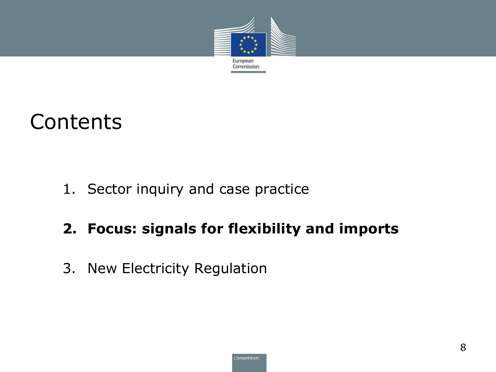![](_page_7_Picture_0.jpeg)

#### **Contents**

1. Sector inquiry and case practice

#### **2. Focus: signals for flexibility and imports**

3. New Electricity Regulation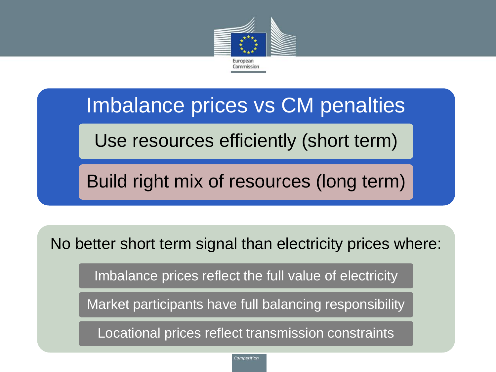![](_page_8_Picture_0.jpeg)

Imbalance prices vs CM penalties

Use resources efficiently (short term)

Build right mix of resources (long term)

No better short term signal than electricity prices where:

Imbalance prices reflect the full value of electricity

Market participants have full balancing responsibility

Locational prices reflect transmission constraints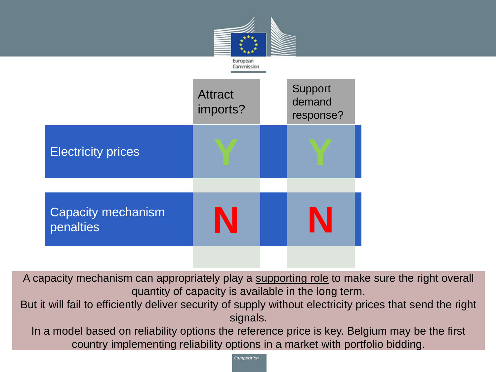![](_page_9_Figure_0.jpeg)

A capacity mechanism can appropriately play a supporting role to make sure the right overall quantity of capacity is available in the long term.

But it will fail to efficiently deliver security of supply without electricity prices that send the right signals.

In a model based on reliability options the reference price is key. Belgium may be the first country implementing reliability options in a market with portfolio bidding.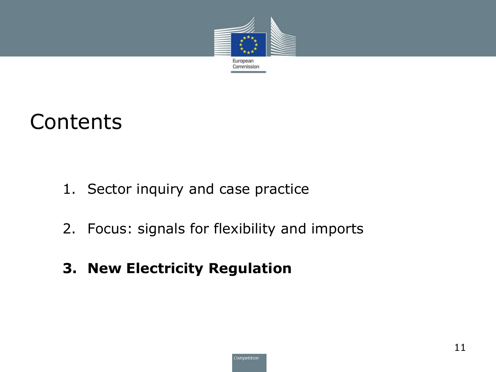![](_page_10_Picture_0.jpeg)

#### **Contents**

- 1. Sector inquiry and case practice
- 2. Focus: signals for flexibility and imports

#### **3. New Electricity Regulation**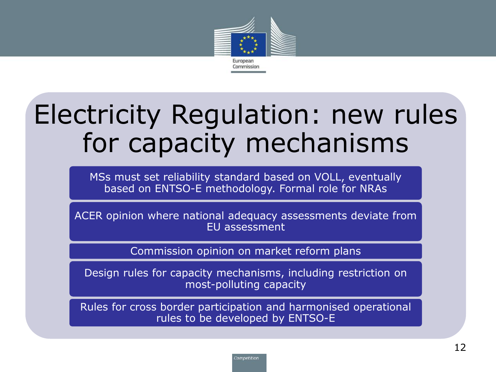![](_page_11_Picture_0.jpeg)

## Electricity Regulation: new rules for capacity mechanisms

MSs must set reliability standard based on VOLL, eventually based on ENTSO-E methodology. Formal role for NRAs

ACER opinion where national adequacy assessments deviate from EU assessment

Commission opinion on market reform plans

Design rules for capacity mechanisms, including restriction on most-polluting capacity

Rules for cross border participation and harmonised operational rules to be developed by ENTSO-E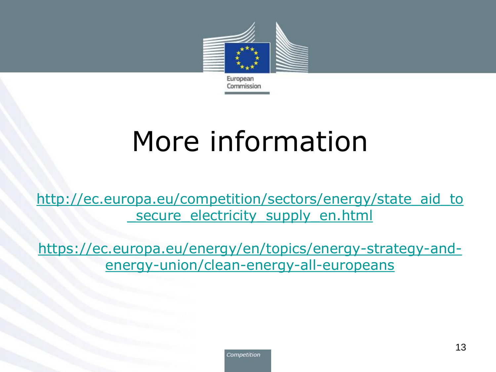![](_page_12_Picture_0.jpeg)

## More information

[http://ec.europa.eu/competition/sectors/energy/state\\_aid\\_to](http://ec.europa.eu/competition/sectors/energy/state_aid_to_secure_electricity_supply_en.html) secure electricity supply en.html

[https://ec.europa.eu/energy/en/topics/energy-strategy-and](https://ec.europa.eu/energy/en/topics/energy-strategy-and-energy-union/clean-energy-all-europeans)energy-union/clean-energy-all-europeans

![](_page_12_Picture_4.jpeg)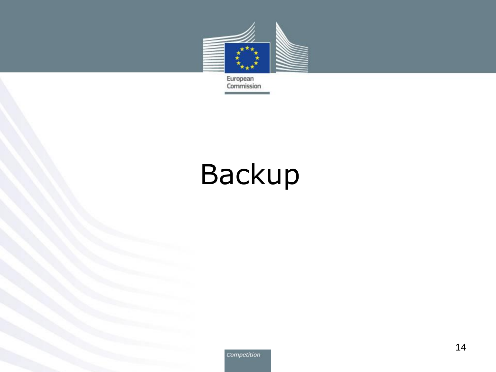![](_page_13_Picture_0.jpeg)

European<br>Commission

# Backup

Competition